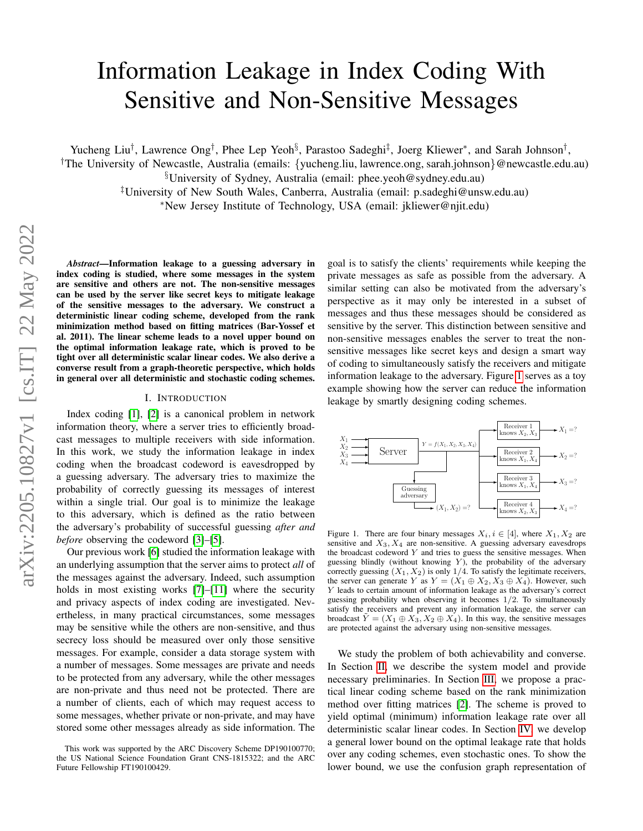# Information Leakage in Index Coding With Sensitive and Non-Sensitive Messages

Yucheng Liu<sup>†</sup>, Lawrence Ong<sup>†</sup>, Phee Lep Yeoh<sup>§</sup>, Parastoo Sadeghi<sup>‡</sup>, Joerg Kliewer<sup>∗</sup>, and Sarah Johnson<sup>†</sup>,

†The University of Newcastle, Australia (emails: {yucheng.liu, lawrence.ong, sarah.johnson}@newcastle.edu.au)

§University of Sydney, Australia (email: phee.yeoh@sydney.edu.au)

‡University of New South Wales, Canberra, Australia (email: p.sadeghi@unsw.edu.au) <sup>∗</sup>New Jersey Institute of Technology, USA (email: jkliewer@njit.edu)

*Abstract*—Information leakage to a guessing adversary in index coding is studied, where some messages in the system are sensitive and others are not. The non-sensitive messages can be used by the server like secret keys to mitigate leakage of the sensitive messages to the adversary. We construct a deterministic linear coding scheme, developed from the rank minimization method based on fitting matrices (Bar-Yossef et al. 2011). The linear scheme leads to a novel upper bound on the optimal information leakage rate, which is proved to be tight over all deterministic scalar linear codes. We also derive a converse result from a graph-theoretic perspective, which holds in general over all deterministic and stochastic coding schemes.

#### I. INTRODUCTION

Index coding [\[1\]](#page-5-0), [\[2\]](#page-5-1) is a canonical problem in network information theory, where a server tries to efficiently broadcast messages to multiple receivers with side information. In this work, we study the information leakage in index coding when the broadcast codeword is eavesdropped by a guessing adversary. The adversary tries to maximize the probability of correctly guessing its messages of interest within a single trial. Our goal is to minimize the leakage to this adversary, which is defined as the ratio between the adversary's probability of successful guessing *after and before* observing the codeword [\[3\]](#page-5-2)–[\[5\]](#page-5-3).

Our previous work [\[6\]](#page-5-4) studied the information leakage with an underlying assumption that the server aims to protect *all* of the messages against the adversary. Indeed, such assumption holds in most existing works [\[7\]](#page-5-5)–[\[11\]](#page-5-6) where the security and privacy aspects of index coding are investigated. Nevertheless, in many practical circumstances, some messages may be sensitive while the others are non-sensitive, and thus secrecy loss should be measured over only those sensitive messages. For example, consider a data storage system with a number of messages. Some messages are private and needs to be protected from any adversary, while the other messages are non-private and thus need not be protected. There are a number of clients, each of which may request access to some messages, whether private or non-private, and may have stored some other messages already as side information. The

goal is to satisfy the clients' requirements while keeping the private messages as safe as possible from the adversary. A similar setting can also be motivated from the adversary's perspective as it may only be interested in a subset of messages and thus these messages should be considered as sensitive by the server. This distinction between sensitive and non-sensitive messages enables the server to treat the nonsensitive messages like secret keys and design a smart way of coding to simultaneously satisfy the receivers and mitigate information leakage to the adversary. Figure [1](#page-0-0) serves as a toy example showing how the server can reduce the information leakage by smartly designing coding schemes.



<span id="page-0-0"></span>Figure 1. There are four binary messages  $X_i, i \in [4]$ , where  $X_1, X_2$  are sensitive and  $X_3, X_4$  are non-sensitive. A guessing adversary eavesdrops the broadcast codeword  $Y$  and tries to guess the sensitive messages. When guessing blindly (without knowing  $Y$ ), the probability of the adversary correctly guessing  $(X_1, X_2)$  is only 1/4. To satisfy the legitimate receivers, the server can generate Y as  $Y = (X_1 \oplus X_2, X_3 \oplus X_4)$ . However, such Y leads to certain amount of information leakage as the adversary's correct guessing probability when observing it becomes  $1/2$ . To simultaneously satisfy the receivers and prevent any information leakage, the server can broadcast  $\tilde{Y} = (X_1 \oplus X_3, X_2 \oplus X_4)$ . In this way, the sensitive messages are protected against the adversary using non-sensitive messages.

We study the problem of both achievability and converse. In Section [II,](#page-1-0) we describe the system model and provide necessary preliminaries. In Section [III,](#page-2-0) we propose a practical linear coding scheme based on the rank minimization method over fitting matrices [\[2\]](#page-5-1). The scheme is proved to yield optimal (minimum) information leakage rate over all deterministic scalar linear codes. In Section [IV,](#page-3-0) we develop a general lower bound on the optimal leakage rate that holds over any coding schemes, even stochastic ones. To show the lower bound, we use the confusion graph representation of

This work was supported by the ARC Discovery Scheme DP190100770; the US National Science Foundation Grant CNS-1815322; and the ARC Future Fellowship FT190100429.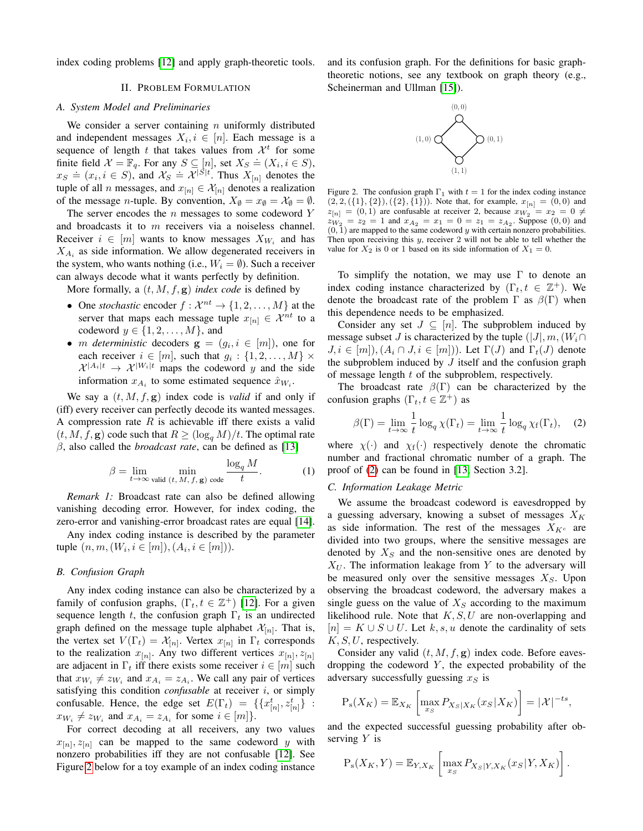<span id="page-1-0"></span>index coding problems [\[12\]](#page-5-7) and apply graph-theoretic tools.

## II. PROBLEM FORMULATION

#### *A. System Model and Preliminaries*

We consider a server containing  $n$  uniformly distributed and independent messages  $X_i, i \in [n]$ . Each message is a sequence of length t that takes values from  $\mathcal{X}^t$  for some finite field  $X = \mathbb{F}_q$ . For any  $S \subseteq [n]$ , set  $X_S = (X_i, i \in S)$ ,  $x_S \doteq (x_i, i \in S)$ , and  $X_S \doteq \mathcal{X}^{|S|t}$ . Thus  $X_{[n]}$  denotes the tuple of all  $n$  messages, and  $x_{[n]} \in \mathcal{X}_{[n]}$  denotes a realization of the message *n*-tuple. By convention,  $X_{\emptyset} = x_{\emptyset} = \mathcal{X}_{\emptyset} = \emptyset$ .

The server encodes the  $n$  messages to some codeword  $Y$ and broadcasts it to m receivers via a noiseless channel. Receiver  $i \in [m]$  wants to know messages  $X_{W_i}$  and has  $X_{A_i}$  as side information. We allow degenerated receivers in the system, who wants nothing (i.e.,  $W_i = \emptyset$ ). Such a receiver can always decode what it wants perfectly by definition.

More formally, a (t, M, f, g) *index code* is defined by

- One *stochastic* encoder  $f: \mathcal{X}^{nt} \to \{1, 2, ..., M\}$  at the server that maps each message tuple  $x_{[n]} \in \mathcal{X}^{nt}$  to a codeword  $y \in \{1, 2, \ldots, M\}$ , and
- *m deterministic* decoders  $g = (g_i, i \in [m])$ , one for each receiver  $i \in [m]$ , such that  $g_i: \{1, 2, ..., M\} \times$  $\mathcal{X}^{|A_i|t} \rightarrow \mathcal{X}^{|W_i|t}$  maps the codeword y and the side information  $x_{A_i}$  to some estimated sequence  $\hat{x}_{W_i}$ .

We say a  $(t, M, f, g)$  index code is *valid* if and only if (iff) every receiver can perfectly decode its wanted messages. A compression rate  $R$  is achievable iff there exists a valid  $(t, M, f, g)$  code such that  $R \geq (\log_q M)/t$ . The optimal rate β, also called the *broadcast rate*, can be defined as [\[13\]](#page-5-8)

$$
\beta = \lim_{t \to \infty} \min_{\text{valid } (t, M, f, \mathbf{g}) \text{ code}} \frac{\log_q M}{t}.
$$
 (1)

*Remark 1:* Broadcast rate can also be defined allowing vanishing decoding error. However, for index coding, the zero-error and vanishing-error broadcast rates are equal [\[14\]](#page-5-9).

Any index coding instance is described by the parameter tuple  $(n, m, (W_i, i \in [m]), (A_i, i \in [m]))$ .

#### *B. Confusion Graph*

Any index coding instance can also be characterized by a family of confusion graphs,  $(\Gamma_t, t \in \mathbb{Z}^+)$  [\[12\]](#page-5-7). For a given sequence length t, the confusion graph  $\Gamma_t$  is an undirected graph defined on the message tuple alphabet  $\mathcal{X}_{[n]}$ . That is, the vertex set  $V(\Gamma_t) = \mathcal{X}_{[n]}$ . Vertex  $x_{[n]}$  in  $\Gamma_t$  corresponds to the realization  $x_{[n]}$ . Any two different vertices  $x_{[n]}, z_{[n]}$ are adjacent in  $\Gamma_t$  iff there exists some receiver  $i \in [m]$  such that  $x_{W_i} \neq z_{W_i}$  and  $x_{A_i} = z_{A_i}$ . We call any pair of vertices satisfying this condition *confusable* at receiver i, or simply confusable. Hence, the edge set  $E(\Gamma_t) = \{ \{ x_{[n]}^t, z_{[n]}^t \}$ :  $x_{W_i} \neq z_{W_i}$  and  $x_{A_i} = z_{A_i}$  for some  $i \in [m]$ .

For correct decoding at all receivers, any two values  $x_{[n]}, z_{[n]}$  can be mapped to the same codeword y with nonzero probabilities iff they are not confusable [\[12\]](#page-5-7). See Figure [2](#page-1-1) below for a toy example of an index coding instance and its confusion graph. For the definitions for basic graphtheoretic notions, see any textbook on graph theory (e.g., Scheinerman and Ullman [\[15\]](#page-5-10)).



<span id="page-1-1"></span>Figure 2. The confusion graph  $\Gamma_1$  with  $t = 1$  for the index coding instance  $(2, 2, ({1}, {2}), ({2}, {\bar{1}}))$ . Note that, for example,  $x_{[n]} = (0, 0)$  and  $z_{[n]} = (0, 1)$  are confusable at receiver 2, because  $x_{W_2} = x_2 = 0 \neq$  $zw_2 = z_2 = 1$  and  $x_{A_2} = x_1 = 0 = z_1 = z_{A_2}$ . Suppose  $(0,0)$  and  $(0, 1)$  are mapped to the same codeword y with certain nonzero probabilities. Then upon receiving this  $y$ , receiver  $2$  will not be able to tell whether the value for  $X_2$  is 0 or 1 based on its side information of  $X_1 = 0$ .

To simplify the notation, we may use  $\Gamma$  to denote an index coding instance characterized by  $(\Gamma_t, t \in \mathbb{Z}^+)$ . We denote the broadcast rate of the problem  $\Gamma$  as  $\beta(\Gamma)$  when this dependence needs to be emphasized.

Consider any set  $J \subseteq [n]$ . The subproblem induced by message subset J is characterized by the tuple  $(|J|, m, (W_i \cap$  $J, i \in [m]$ ,  $(A_i \cap J, i \in [m])$ . Let  $\Gamma(J)$  and  $\Gamma_t(J)$  denote the subproblem induced by  $J$  itself and the confusion graph of message length  $t$  of the subproblem, respectively.

The broadcast rate  $\beta(\Gamma)$  can be characterized by the confusion graphs  $(\Gamma_t, t \in \mathbb{Z}^+)$  as

<span id="page-1-2"></span>
$$
\beta(\Gamma) = \lim_{t \to \infty} \frac{1}{t} \log_q \chi(\Gamma_t) = \lim_{t \to \infty} \frac{1}{t} \log_q \chi_f(\Gamma_t), \quad (2)
$$

where  $\chi(\cdot)$  and  $\chi_f(\cdot)$  respectively denote the chromatic number and fractional chromatic number of a graph. The proof of [\(2\)](#page-1-2) can be found in [\[13,](#page-5-8) Section 3.2].

### *C. Information Leakage Metric*

We assume the broadcast codeword is eavesdropped by a guessing adversary, knowing a subset of messages  $X_K$ as side information. The rest of the messages  $X_{K^c}$  are divided into two groups, where the sensitive messages are denoted by  $X<sub>S</sub>$  and the non-sensitive ones are denoted by  $X_U$ . The information leakage from Y to the adversary will be measured only over the sensitive messages  $X<sub>S</sub>$ . Upon observing the broadcast codeword, the adversary makes a single guess on the value of  $X<sub>S</sub>$  according to the maximum likelihood rule. Note that  $K, S, U$  are non-overlapping and  $[n] = K \cup S \cup U$ . Let k, s, u denote the cardinality of sets  $K, S, U$ , respectively.

Consider any valid  $(t, M, f, g)$  index code. Before eavesdropping the codeword  $Y$ , the expected probability of the adversary successfully guessing  $x_S$  is

$$
P_s(X_K) = \mathbb{E}_{X_K} \left[ \max_{x_S} P_{X_S|X_K}(x_S|X_K) \right] = |\mathcal{X}|^{-ts},
$$

and the expected successful guessing probability after observing  $Y$  is

$$
P_{s}(X_K, Y) = \mathbb{E}_{Y, X_K} \left[ \max_{x_S} P_{X_S|Y, X_K}(x_S|Y, X_K) \right].
$$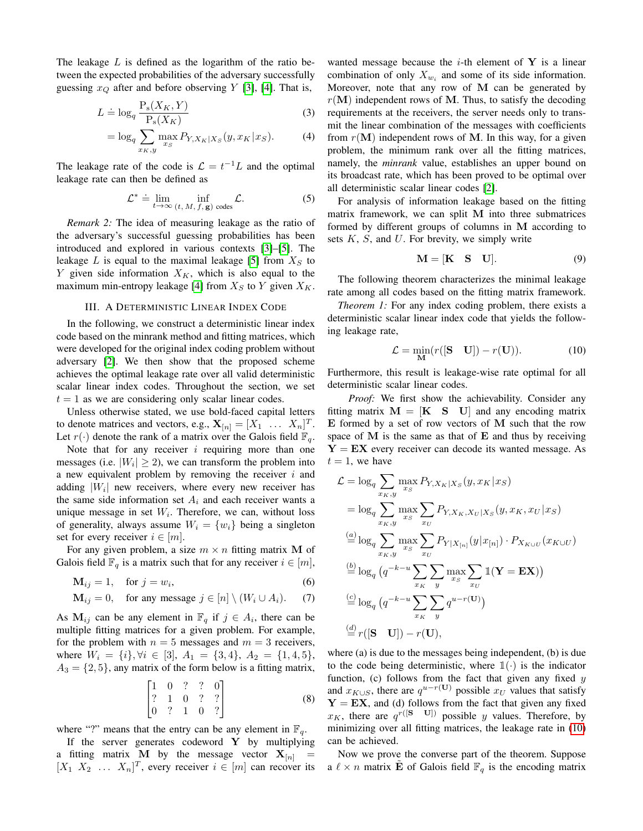The leakage  $L$  is defined as the logarithm of the ratio between the expected probabilities of the adversary successfully guessing  $x_Q$  after and before observing Y [\[3\]](#page-5-2), [\[4\]](#page-5-11). That is,

$$
L \doteq \log_q \frac{P_s(X_K, Y)}{P_s(X_K)}\tag{3}
$$

$$
= \log_q \sum_{x_K, y} \max_{x_S} P_{Y, X_K | X_S}(y, x_K | x_S). \tag{4}
$$

The leakage rate of the code is  $\mathcal{L} = t^{-1}L$  and the optimal leakage rate can then be defined as

$$
\mathcal{L}^* \doteq \lim_{t \to \infty} \inf_{(t, M, f, \mathbf{g}) \text{ codes}} \mathcal{L}.
$$
 (5)

*Remark 2:* The idea of measuring leakage as the ratio of the adversary's successful guessing probabilities has been introduced and explored in various contexts [\[3\]](#page-5-2)–[\[5\]](#page-5-3). The leakage  $L$  is equal to the maximal leakage [\[5\]](#page-5-3) from  $X_S$  to Y given side information  $X_K$ , which is also equal to the maximum min-entropy leakage [\[4\]](#page-5-11) from  $X_S$  to Y given  $X_K$ .

#### III. A DETERMINISTIC LINEAR INDEX CODE

<span id="page-2-0"></span>In the following, we construct a deterministic linear index code based on the minrank method and fitting matrices, which were developed for the original index coding problem without adversary [\[2\]](#page-5-1). We then show that the proposed scheme achieves the optimal leakage rate over all valid deterministic scalar linear index codes. Throughout the section, we set  $t = 1$  as we are considering only scalar linear codes.

Unless otherwise stated, we use bold-faced capital letters to denote matrices and vectors, e.g.,  $\mathbf{X}_{[n]} = [X_1 \dots X_n]^T$ . Let  $r(\cdot)$  denote the rank of a matrix over the Galois field  $\mathbb{F}_q$ .

Note that for any receiver  $i$  requiring more than one messages (i.e.  $|W_i| \ge 2$ ), we can transform the problem into a new equivalent problem by removing the receiver  $i$  and adding  $|W_i|$  new receivers, where every new receiver has the same side information set  $A_i$  and each receiver wants a unique message in set  $W_i$ . Therefore, we can, without loss of generality, always assume  $W_i = \{w_i\}$  being a singleton set for every receiver  $i \in [m]$ .

For any given problem, a size  $m \times n$  fitting matrix M of Galois field  $\mathbb{F}_q$  is a matrix such that for any receiver  $i \in [m]$ ,

$$
\mathbf{M}_{ij} = 1, \quad \text{for } j = w_i,\tag{6}
$$

$$
\mathbf{M}_{ij} = 0, \quad \text{for any message } j \in [n] \setminus (W_i \cup A_i). \tag{7}
$$

As  $M_{ij}$  can be any element in  $\mathbb{F}_q$  if  $j \in A_i$ , there can be multiple fitting matrices for a given problem. For example, for the problem with  $n = 5$  messages and  $m = 3$  receivers, where  $W_i = \{i\}, \forall i \in [3], A_1 = \{3, 4\}, A_2 = \{1, 4, 5\},\$  $A_3 = \{2, 5\}$ , any matrix of the form below is a fitting matrix,

$$
\begin{bmatrix} 1 & 0 & ? & ? & 0 \\ ? & 1 & 0 & ? & ? \\ 0 & ? & 1 & 0 & ? \end{bmatrix}
$$
 (8)

where "?" means that the entry can be any element in  $\mathbb{F}_q$ .

If the server generates codeword  $Y$  by multiplying a fitting matrix M by the message vector  $X_{[n]}$  $[X_1 \ X_2 \ \ldots \ X_n]^T$ , every receiver  $i \in [m]$  can recover its

wanted message because the  $i$ -th element of Y is a linear combination of only  $X_{w_i}$  and some of its side information. Moreover, note that any row of  $M$  can be generated by  $r(M)$  independent rows of M. Thus, to satisfy the decoding requirements at the receivers, the server needs only to transmit the linear combination of the messages with coefficients from  $r(M)$  independent rows of M. In this way, for a given problem, the minimum rank over all the fitting matrices, namely, the *minrank* value, establishes an upper bound on its broadcast rate, which has been proved to be optimal over all deterministic scalar linear codes [\[2\]](#page-5-1).

For analysis of information leakage based on the fitting matrix framework, we can split M into three submatrices formed by different groups of columns in M according to sets  $K$ ,  $S$ , and  $U$ . For brevity, we simply write

<span id="page-2-1"></span>
$$
\mathbf{M} = [\mathbf{K} \quad \mathbf{S} \quad \mathbf{U}]. \tag{9}
$$

The following theorem characterizes the minimal leakage rate among all codes based on the fitting matrix framework.

<span id="page-2-2"></span>*Theorem 1:* For any index coding problem, there exists a deterministic scalar linear index code that yields the following leakage rate,

$$
\mathcal{L} = \min_{\mathbf{M}} (r([S \quad \mathbf{U}]) - r(\mathbf{U})). \tag{10}
$$

Furthermore, this result is leakage-wise rate optimal for all deterministic scalar linear codes.

*Proof:* We first show the achievability. Consider any fitting matrix  $M = [K S U]$  and any encoding matrix  $E$  formed by a set of row vectors of  $M$  such that the row space of  $M$  is the same as that of  $E$  and thus by receiving  $Y = EX$  every receiver can decode its wanted message. As  $t = 1$ , we have

$$
\mathcal{L} = \log_q \sum_{x_K, y} \max_{x_S} P_{Y, X_K | X_S}(y, x_K | x_S)
$$
  
\n
$$
= \log_q \sum_{x_K, y} \max_{x_S} \sum_{x_U} P_{Y, X_K, X_U | X_S}(y, x_K, x_U | x_S)
$$
  
\n
$$
\stackrel{(a)}{=} \log_q \sum_{x_K, y} \max_{x_S} \sum_{x_U} P_{Y | X_{[n]}}(y | x_{[n]}) \cdot P_{X_{K \cup U}}(x_{K \cup U})
$$
  
\n
$$
\stackrel{(b)}{=} \log_q (q^{-k-u} \sum_{x_K} \sum_{y} \max_{x_S} \sum_{x_U} \mathbb{1}(\mathbf{Y} = \mathbf{EX}))
$$
  
\n
$$
\stackrel{(c)}{=} \log_q (q^{-k-u} \sum_{x_K} \sum_{y} q^{u-r}(\mathbf{U}))
$$
  
\n
$$
\stackrel{(d)}{=} r([\mathbf{S} \quad \mathbf{U}]) - r(\mathbf{U}),
$$

where (a) is due to the messages being independent, (b) is due to the code being deterministic, where  $\mathbb{1}(\cdot)$  is the indicator function, (c) follows from the fact that given any fixed  $y$ and  $x_{K\cup S}$ , there are  $q^{u-r}(\mathbf{U})$  possible  $x_U$  values that satisfy  $Y = EX$ , and (d) follows from the fact that given any fixed  $x_K$ , there are  $q^{r([S-U])}$  possible y values. Therefore, by minimizing over all fitting matrices, the leakage rate in [\(10\)](#page-2-1) can be achieved.

Now we prove the converse part of the theorem. Suppose a  $\ell \times n$  matrix **E** of Galois field  $\mathbb{F}_q$  is the encoding matrix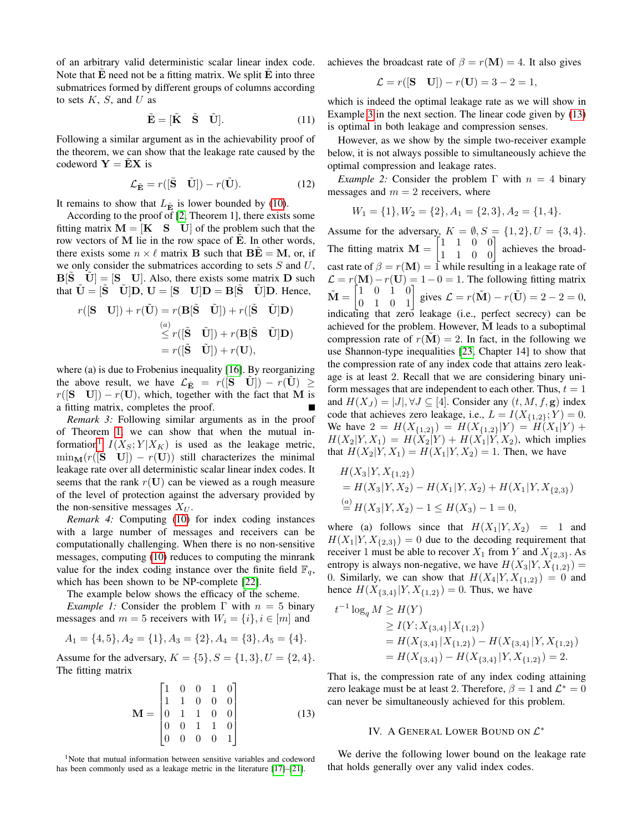of an arbitrary valid deterministic scalar linear index code. Note that  $E$  need not be a fitting matrix. We split  $E$  into three submatrices formed by different groups of columns according to sets  $K$ ,  $S$ , and  $U$  as

$$
\tilde{\mathbf{E}} = [\tilde{\mathbf{K}} \quad \tilde{\mathbf{S}} \quad \tilde{\mathbf{U}}]. \tag{11}
$$

Following a similar argument as in the achievability proof of the theorem, we can show that the leakage rate caused by the codeword  $Y = EX$  is

$$
\mathcal{L}_{\tilde{\mathbf{E}}} = r([\tilde{\mathbf{S}} \quad \tilde{\mathbf{U}}]) - r(\tilde{\mathbf{U}}). \tag{12}
$$

It remains to show that  $L_{\tilde{\mathbf{E}}}$  is lower bounded by [\(10\)](#page-2-1).

According to the proof of [\[2,](#page-5-1) Theorem 1], there exists some fitting matrix  $M = [K S U]$  of the problem such that the row vectors of  $M$  lie in the row space of  $\tilde{E}$ . In other words, there exists some  $n \times \ell$  matrix **B** such that  $\overrightarrow{BE} = \overrightarrow{M}$ , or, if we only consider the submatrices according to sets  $S$  and  $U$ ,  $\mathbf{B}[\mathbf{S} \quad \mathbf{U}] = [\mathbf{S} \quad \mathbf{U}]$ . Also, there exists some matrix **D** such that  $U = [S \quad U]D$ ,  $U = [S \quad U]D = B[S \quad U]D$ . Hence,

$$
r([S \quad U]) + r(\tilde{U}) = r(B[\tilde{S} \quad \tilde{U}]) + r([\tilde{S} \quad \tilde{U}]D)
$$
  
\n
$$
\overset{(a)}{\leq} r([\tilde{S} \quad \tilde{U}]) + r(B[\tilde{S} \quad \tilde{U}]D)
$$
  
\n
$$
= r([\tilde{S} \quad \tilde{U}]) + r(U),
$$

where (a) is due to Frobenius inequality [\[16\]](#page-5-12). By reorganizing the above result, we have  $\mathcal{L}_{\tilde{\mathbf{E}}} = r([S \quad U]) - r(U) \geq$  $r([S \quad U]) - r(U)$ , which, together with the fact that M is a fitting matrix, completes the proof.

*Remark 3:* Following similar arguments as in the proof of Theorem [1,](#page-2-2) we can show that when the mutual in-formation<sup>[1](#page-3-1)</sup>  $I(X_S; Y | X_K)$  is used as the leakage metric,  $\min_{\mathbf{M}}(r([S \quad \mathbf{U}]) - r(\mathbf{U}))$  still characterizes the minimal leakage rate over all deterministic scalar linear index codes. It seems that the rank  $r(U)$  can be viewed as a rough measure of the level of protection against the adversary provided by the non-sensitive messages  $X_U$ .

*Remark 4:* Computing [\(10\)](#page-2-1) for index coding instances with a large number of messages and receivers can be computationally challenging. When there is no non-sensitive messages, computing [\(10\)](#page-2-1) reduces to computing the minrank value for the index coding instance over the finite field  $\mathbb{F}_q$ , which has been shown to be NP-complete [\[22\]](#page-5-13).

The example below shows the efficacy of the scheme.

<span id="page-3-4"></span>*Example 1:* Consider the problem  $\Gamma$  with  $n = 5$  binary messages and  $m = 5$  receivers with  $W_i = \{i\}, i \in [m]$  and

$$
A_1 = \{4, 5\}, A_2 = \{1\}, A_3 = \{2\}, A_4 = \{3\}, A_5 = \{4\}.
$$

Assume for the adversary,  $K = \{5\}$ ,  $S = \{1, 3\}$ ,  $U = \{2, 4\}$ . The fitting matrix

$$
\mathbf{M} = \begin{bmatrix} 1 & 0 & 0 & 1 & 0 \\ 1 & 1 & 0 & 0 & 0 \\ 0 & 1 & 1 & 0 & 0 \\ 0 & 0 & 1 & 1 & 0 \\ 0 & 0 & 0 & 0 & 1 \end{bmatrix}
$$
(13)

<span id="page-3-1"></span><sup>1</sup>Note that mutual information between sensitive variables and codeword has been commonly used as a leakage metric in the literature [\[17\]](#page-5-14)–[\[21\]](#page-5-15).

achieves the broadcast rate of  $\beta = r(M) = 4$ . It also gives

$$
\mathcal{L} = r([S \quad U]) - r(U) = 3 - 2 = 1,
$$

which is indeed the optimal leakage rate as we will show in Example [3](#page-4-0) in the next section. The linear code given by [\(13\)](#page-3-2) is optimal in both leakage and compression senses.

However, as we show by the simple two-receiver example below, it is not always possible to simultaneously achieve the optimal compression and leakage rates.

*Example 2:* Consider the problem  $\Gamma$  with  $n = 4$  binary messages and  $m = 2$  receivers, where

$$
W_1 = \{1\}, W_2 = \{2\}, A_1 = \{2, 3\}, A_2 = \{1, 4\}.
$$

Assume for the adversary,  $K = \emptyset$ ,  $S = \{1, 2\}$ ,  $U = \{3, 4\}$ . The fitting matrix  $\mathbf{M} = \begin{bmatrix} 1 & 1 & 0 & 0 \\ 1 & 1 & 0 & 0 \end{bmatrix}$  achieves the broadcast rate of  $\beta = r(M) = 1$  while resulting in a leakage rate of  $\mathcal{L} = r(\mathbf{M}) - r(\mathbf{U}) = 1 - 0 = 1$ . The following fitting matrix  $\tilde{\mathbf{M}} = \begin{bmatrix} 1 & 0 & 1 & 0 \\ 0 & 1 & 0 & 1 \end{bmatrix}$  gives  $\mathcal{L} = r(\tilde{\mathbf{M}}) - r(\tilde{\mathbf{U}}) = 2 - 2 = 0$ , indicating that zero leakage (i.e., perfect secrecy) can be achieved for the problem. However, M leads to a suboptimal compression rate of  $r(\tilde{M}) = 2$ . In fact, in the following we use Shannon-type inequalities [\[23,](#page-5-16) Chapter 14] to show that the compression rate of any index code that attains zero leakage is at least 2. Recall that we are considering binary uniform messages that are independent to each other. Thus,  $t = 1$ and  $H(X_J) = |J|, \forall J \subseteq [4]$ . Consider any  $(t, M, f, g)$  index code that achieves zero leakage, i.e.,  $L = I(X_{\{1,2\}}; Y) = 0$ . We have  $2 = H(X_{\{1,2\}}) = H(X_{\{1,2\}}|Y) = H(X_1|Y) +$  $H(X_2|Y, X_1) = H(X_2|Y) + H(X_1|Y, X_2)$ , which implies that  $H(X_2|Y, X_1) = H(X_1|Y, X_2) = 1$ . Then, we have

$$
H(X_3|Y, X_{\{1,2\}})
$$
  
=  $H(X_3|Y, X_2) - H(X_1|Y, X_2) + H(X_1|Y, X_{\{2,3\}})$   
 $\stackrel{(a)}{=} H(X_3|Y, X_2) - 1 \le H(X_3) - 1 = 0,$ 

where (a) follows since that  $H(X_1|Y, X_2) = 1$  and  $H(X_1|Y, X_{\{2,3\}}) = 0$  due to the decoding requirement that receiver 1 must be able to recover  $X_1$  from Y and  $X_{\{2,3\}}$ . As entropy is always non-negative, we have  $H(X_3|Y, X_{\{1,2\}}) =$ 0. Similarly, we can show that  $H(X_4|Y, X_{1,2}) = 0$  and hence  $H(X_{\{3,4\}}|Y, X_{\{1,2\}}) = 0$ . Thus, we have

$$
t^{-1} \log_q M \ge H(Y)
$$
  
\n
$$
\ge I(Y; X_{\{3,4\}} | X_{\{1,2\}})
$$
  
\n
$$
= H(X_{\{3,4\}} | X_{\{1,2\}}) - H(X_{\{3,4\}} | Y, X_{\{1,2\}})
$$
  
\n
$$
= H(X_{\{3,4\}}) - H(X_{\{3,4\}} | Y, X_{\{1,2\}}) = 2.
$$

<span id="page-3-2"></span>That is, the compression rate of any index coding attaining zero leakage must be at least 2. Therefore,  $\beta = 1$  and  $\mathcal{L}^* = 0$ can never be simultaneously achieved for this problem.

# IV. A GENERAL LOWER BOUND ON  $\mathcal{L}^*$

<span id="page-3-3"></span><span id="page-3-0"></span>We derive the following lower bound on the leakage rate that holds generally over any valid index codes.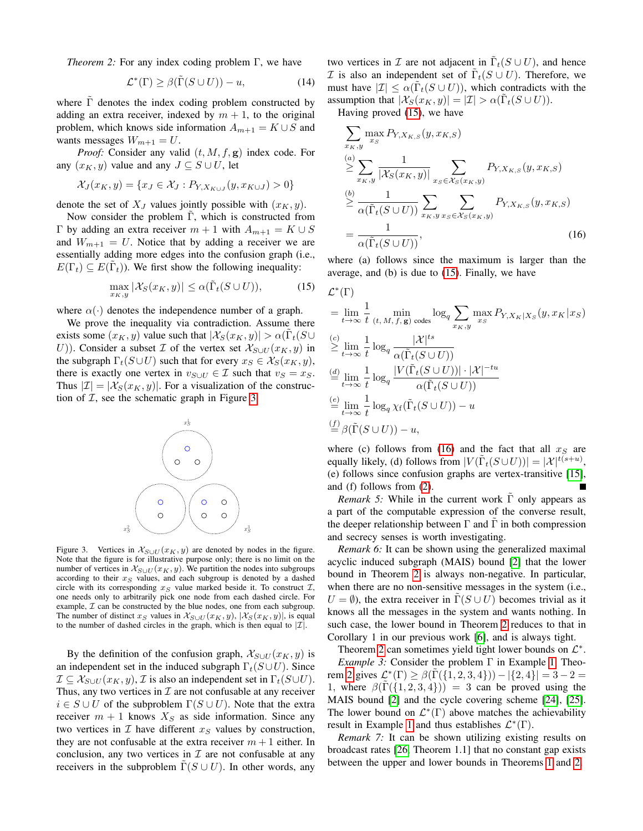*Theorem 2:* For any index coding problem Γ, we have

$$
\mathcal{L}^*(\Gamma) \ge \beta(\tilde{\Gamma}(S \cup U)) - u,\tag{14}
$$

where  $\Gamma$  denotes the index coding problem constructed by adding an extra receiver, indexed by  $m + 1$ , to the original problem, which knows side information  $A_{m+1} = K \cup S$  and wants messages  $W_{m+1} = U$ .

*Proof:* Consider any valid  $(t, M, f, g)$  index code. For any  $(x_K, y)$  value and any  $J \subseteq S \cup U$ , let

$$
\mathcal{X}_J(x_K, y) = \{ x_J \in \mathcal{X}_J : P_{Y, X_{K \cup J}}(y, x_{K \cup J}) > 0 \}
$$

denote the set of  $X_J$  values jointly possible with  $(x_K, y)$ .

Now consider the problem  $\Gamma$ , which is constructed from Γ by adding an extra receiver  $m + 1$  with  $A_{m+1} = K ∪ S$ and  $W_{m+1} = U$ . Notice that by adding a receiver we are essentially adding more edges into the confusion graph (i.e.,  $E(\Gamma_t) \subseteq E(\tilde{\Gamma}_t)$ ). We first show the following inequality:

$$
\max_{x_K, y} |\mathcal{X}_S(x_K, y)| \le \alpha (\tilde{\Gamma}_t(S \cup U)), \tag{15}
$$

where  $\alpha(\cdot)$  denotes the independence number of a graph.

We prove the inequality via contradiction. Assume there exists some  $(x_K, y)$  value such that  $|\mathcal{X}_S(x_K, y)| > \alpha(\tilde{\Gamma}_t(S \cup$ U)). Consider a subset  $\mathcal I$  of the vertex set  $\mathcal X_{S\cup U}(x_K, y)$  in the subgraph  $\Gamma_t(S \cup U)$  such that for every  $x_S \in \mathcal{X}_S(x_K, y)$ , there is exactly one vertex in  $v_{S\cup U} \in \mathcal{I}$  such that  $v_S = x_S$ . Thus  $|\mathcal{I}| = |\mathcal{X}_S(x_K, y)|$ . For a visualization of the construction of  $I$ , see the schematic graph in Figure [3.](#page-4-1)



<span id="page-4-1"></span>Figure 3. Vertices in  $\mathcal{X}_{S\cup U}(x_K, y)$  are denoted by nodes in the figure. Note that the figure is for illustrative purpose only; there is no limit on the number of vertices in  $\mathcal{X}_{S\cup U}(x_K, y)$ . We partition the nodes into subgroups according to their  $x_S$  values, and each subgroup is denoted by a dashed circle with its corresponding  $x_S$  value marked beside it. To construct  $\mathcal{I}$ , one needs only to arbitrarily pick one node from each dashed circle. For example,  $\mathcal I$  can be constructed by the blue nodes, one from each subgroup. The number of distinct  $x_S$  values in  $\mathcal{X}_{S\cup U}(x_K, y)$ ,  $|\mathcal{X}_S(x_K, y)|$ , is equal to the number of dashed circles in the graph, which is then equal to  $|\mathcal{I}|$ .

By the definition of the confusion graph,  $\mathcal{X}_{S\cup U}(x_K, y)$  is an independent set in the induced subgraph  $\Gamma_t(S \cup U)$ . Since  $\mathcal{I} \subseteq \mathcal{X}_{S \cup U}(x_K, y), \mathcal{I}$  is also an independent set in  $\Gamma_t(S \cup U)$ . Thus, any two vertices in  $\mathcal I$  are not confusable at any receiver  $i \in S \cup U$  of the subproblem  $\Gamma(S \cup U)$ . Note that the extra receiver  $m + 1$  knows  $X<sub>S</sub>$  as side information. Since any two vertices in  $\mathcal I$  have different  $x_S$  values by construction, they are not confusable at the extra receiver  $m+1$  either. In conclusion, any two vertices in  $\mathcal I$  are not confusable at any receivers in the subproblem  $\Gamma(S \cup U)$ . In other words, any

two vertices in  $\mathcal I$  are not adjacent in  $\tilde{\Gamma}_t(S\cup U)$ , and hence  $\mathcal I$  is also an independent set of  $\tilde{\Gamma}_t(S \cup U)$ . Therefore, we must have  $|\mathcal{I}| \leq \alpha(\tilde{\Gamma}_t(S \cup U))$ , which contradicts with the assumption that  $|\mathcal{X}_S(x_K, y)| = |\mathcal{I}| > \alpha(\tilde{\Gamma}_t(S \cup U)).$ 

Having proved [\(15\)](#page-4-2), we have

$$
\sum_{x_K, y} \max_{x_S} P_{Y, X_{K,S}}(y, x_{K,S})
$$
\n
$$
\geq \sum_{x_K, y} \frac{1}{|\mathcal{X}_S(x_K, y)|} \sum_{x_S \in \mathcal{X}_S(x_K, y)} P_{Y, X_{K,S}}(y, x_{K,S})
$$
\n
$$
\geq \frac{1}{\alpha(\tilde{\Gamma}_t(S \cup U))} \sum_{x_K, y} \sum_{x_S \in \mathcal{X}_S(x_K, y)} P_{Y, X_{K,S}}(y, x_{K,S})
$$
\n
$$
= \frac{1}{\alpha(\tilde{\Gamma}_t(S \cup U))},
$$
\n(16)

<span id="page-4-3"></span>where (a) follows since the maximum is larger than the average, and (b) is due to [\(15\)](#page-4-2). Finally, we have

<span id="page-4-2"></span>
$$
\mathcal{L}^*(\Gamma)
$$
\n
$$
= \lim_{t \to \infty} \frac{1}{t} \min_{(t, M, f, \mathbf{g}) \text{ codes}} \log_q \sum_{x_K, y} \max_{x_S} P_{Y, X_K | X_S}(y, x_K | x_S)
$$
\n
$$
\geq \lim_{t \to \infty} \frac{1}{t} \log_q \frac{|\mathcal{X}|^{ts}}{\alpha(\tilde{\Gamma}_t(S \cup U))}
$$
\n
$$
\stackrel{(d)}{=} \lim_{t \to \infty} \frac{1}{t} \log_q \frac{|V(\tilde{\Gamma}_t(S \cup U))| \cdot |\mathcal{X}|^{-tu}}{\alpha(\tilde{\Gamma}_t(S \cup U))}
$$
\n
$$
\stackrel{(e)}{=} \lim_{t \to \infty} \frac{1}{t} \log_q \chi_f(\tilde{\Gamma}_t(S \cup U)) - u
$$
\n
$$
\stackrel{(f)}{=} \beta(\tilde{\Gamma}(S \cup U)) - u,
$$

where (c) follows from [\(16\)](#page-4-3) and the fact that all  $x_S$  are equally likely, (d) follows from  $|V(\tilde{\Gamma}_t(S\cup U))| = |\mathcal{X}|^{t(s+u)}$ , (e) follows since confusion graphs are vertex-transitive [\[15\]](#page-5-10), and (f) follows from [\(2\)](#page-1-2).

*Remark 5:* While in the current work Γ only appears as a part of the computable expression of the converse result, the deeper relationship between  $\Gamma$  and  $\overline{\Gamma}$  in both compression and secrecy senses is worth investigating.

*Remark 6:* It can be shown using the generalized maximal acyclic induced subgraph (MAIS) bound [\[2\]](#page-5-1) that the lower bound in Theorem [2](#page-3-3) is always non-negative. In particular, when there are no non-sensitive messages in the system (i.e.,  $U = \emptyset$ ), the extra receiver in  $\tilde{\Gamma}(S \cup U)$  becomes trivial as it knows all the messages in the system and wants nothing. In such case, the lower bound in Theorem [2](#page-3-3) reduces to that in Corollary 1 in our previous work [\[6\]](#page-5-4), and is always tight.

<span id="page-4-0"></span>Theorem [2](#page-3-3) can sometimes yield tight lower bounds on  $\mathcal{L}^*$ . *Example 3:* Consider the problem Γ in Example [1.](#page-3-4) Theo-rem [2](#page-3-3) gives  $\mathcal{L}^*(\Gamma) \ge \beta(\tilde{\Gamma}(\{1, 2, 3, 4\})) - |\{2, 4\}| = 3 - 2 =$ 1, where  $\beta(\Gamma({1, 2, 3, 4})) = 3$  can be proved using the MAIS bound [\[2\]](#page-5-1) and the cycle covering scheme [\[24\]](#page-5-17), [\[25\]](#page-5-18). The lower bound on  $\mathcal{L}^*(\Gamma)$  above matches the achievability result in Example [1](#page-3-4) and thus establishes  $\mathcal{L}^*(\Gamma)$ .

*Remark 7:* It can be shown utilizing existing results on broadcast rates [\[26,](#page-5-19) Theorem 1.1] that no constant gap exists between the upper and lower bounds in Theorems [1](#page-2-2) and [2.](#page-3-3)